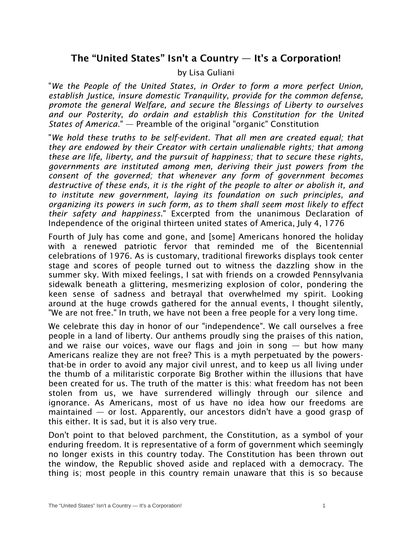## The "United States" Isn't a Country  $-$  It's a Corporation!

## by Lisa Guliani

"*We the People of the United States, in Order to form a more perfect Union, establish Justice, insure domestic Tranquility, provide for the common defense, promote the general Welfare, and secure the Blessings of Liberty to ourselves and our Posterity, do ordain and establish this Constitution for the United States of America*." — Preamble of the original "organic" Constitution

"*We hold these truths to be self-evident. That all men are created equal; that they are endowed by their Creator with certain unalienable rights; that among these are life, liberty, and the pursuit of happiness; that to secure these rights, governments are instituted among men, deriving their just powers from the consent of the governed; that whenever any form of government becomes destructive of these ends, it is the right of the people to alter or abolish it, and to institute new government, laying its foundation on such principles, and organizing its powers in such form, as to them shall seem most likely to effect their safety and happiness*." Excerpted from the unanimous Declaration of Independence of the original thirteen united states of America, July 4, 1776

Fourth of July has come and gone, and [some] Americans honored the holiday with a renewed patriotic fervor that reminded me of the Bicentennial celebrations of 1976. As is customary, traditional fireworks displays took center stage and scores of people turned out to witness the dazzling show in the summer sky. With mixed feelings, I sat with friends on a crowded Pennsylvania sidewalk beneath a glittering, mesmerizing explosion of color, pondering the keen sense of sadness and betrayal that overwhelmed my spirit. Looking around at the huge crowds gathered for the annual events, I thought silently, "We are not free." In truth, we have not been a free people for a very long time.

We celebrate this day in honor of our "independence". We call ourselves a free people in a land of liberty. Our anthems proudly sing the praises of this nation, and we raise our voices, wave our flags and join in song  $-$  but how many Americans realize they are not free? This is a myth perpetuated by the powersthat-be in order to avoid any major civil unrest, and to keep us all living under the thumb of a militaristic corporate Big Brother within the illusions that have been created for us. The truth of the matter is this: what freedom has not been stolen from us, we have surrendered willingly through our silence and ignorance. As Americans, most of us have no idea how our freedoms are maintained — or lost. Apparently, our ancestors didn't have a good grasp of this either. It is sad, but it is also very true.

Don't point to that beloved parchment, the Constitution, as a symbol of your enduring freedom. It is representative of a form of government which seemingly no longer exists in this country today. The Constitution has been thrown out the window, the Republic shoved aside and replaced with a democracy. The thing is; most people in this country remain unaware that this is so because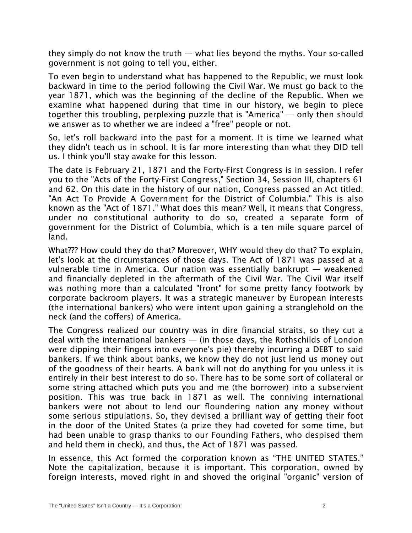they simply do not know the truth — what lies beyond the myths. Your so-called government is not going to tell you, either.

To even begin to understand what has happened to the Republic, we must look backward in time to the period following the Civil War. We must go back to the year 1871, which was the beginning of the decline of the Republic. When we examine what happened during that time in our history, we begin to piece together this troubling, perplexing puzzle that is "America" — only then should we answer as to whether we are indeed a "free" people or not.

So, let's roll backward into the past for a moment. It is time we learned what they didn't teach us in school. It is far more interesting than what they DID tell us. I think you'll stay awake for this lesson.

The date is February 21, 1871 and the Forty-First Congress is in session. I refer you to the "Acts of the Forty-First Congress," Section 34, Session III, chapters 61 and 62. On this date in the history of our nation, Congress passed an Act titled: "An Act To Provide A Government for the District of Columbia." This is also known as the "Act of 1871." What does this mean? Well, it means that Congress, under no constitutional authority to do so, created a separate form of government for the District of Columbia, which is a ten mile square parcel of land.

What??? How could they do that? Moreover, WHY would they do that? To explain, let's look at the circumstances of those days. The Act of 1871 was passed at a vulnerable time in America. Our nation was essentially bankrupt — weakened and financially depleted in the aftermath of the Civil War. The Civil War itself was nothing more than a calculated "front" for some pretty fancy footwork by corporate backroom players. It was a strategic maneuver by European interests (the international bankers) who were intent upon gaining a stranglehold on the neck (and the coffers) of America.

The Congress realized our country was in dire financial straits, so they cut a deal with the international bankers — (in those days, the Rothschilds of London were dipping their fingers into everyone's pie) thereby incurring a DEBT to said bankers. If we think about banks, we know they do not just lend us money out of the goodness of their hearts. A bank will not do anything for you unless it is entirely in their best interest to do so. There has to be some sort of collateral or some string attached which puts you and me (the borrower) into a subservient position. This was true back in 1871 as well. The conniving international bankers were not about to lend our floundering nation any money without some serious stipulations. So, they devised a brilliant way of getting their foot in the door of the United States (a prize they had coveted for some time, but had been unable to grasp thanks to our Founding Fathers, who despised them and held them in check), and thus, the Act of 1871 was passed.

In essence, this Act formed the corporation known as "THE UNITED STATES." Note the capitalization, because it is important. This corporation, owned by foreign interests, moved right in and shoved the original "organic" version of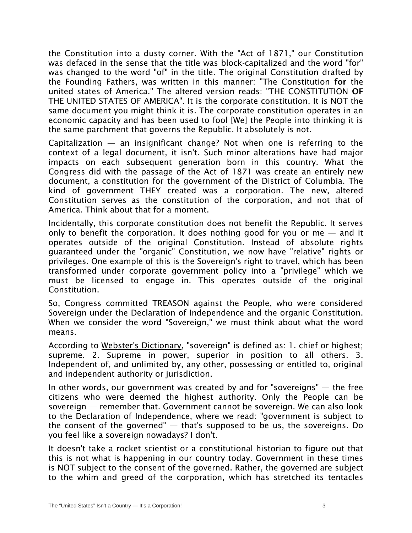the Constitution into a dusty corner. With the "Act of 1871," our Constitution was defaced in the sense that the title was block-capitalized and the word "for" was changed to the word "of" in the title. The original Constitution drafted by the Founding Fathers, was written in this manner: "The Constitution for the united states of America." The altered version reads: "THE CONSTITUTION OF THE UNITED STATES OF AMERICA". It is the corporate constitution. It is NOT the same document you might think it is. The corporate constitution operates in an economic capacity and has been used to fool [We] the People into thinking it is the same parchment that governs the Republic. It absolutely is not.

Capitalization — an insignificant change? Not when one is referring to the context of a legal document, it isn't. Such minor alterations have had major impacts on each subsequent generation born in this country. What the Congress did with the passage of the Act of 1871 was create an entirely new document, a constitution for the government of the District of Columbia. The kind of government THEY created was a corporation. The new, altered Constitution serves as the constitution of the corporation, and not that of America. Think about that for a moment.

Incidentally, this corporate constitution does not benefit the Republic. It serves only to benefit the corporation. It does nothing good for you or me  $-$  and it operates outside of the original Constitution. Instead of absolute rights guaranteed under the "organic" Constitution, we now have "relative" rights or privileges. One example of this is the Sovereign's right to travel, which has been transformed under corporate government policy into a "privilege" which we must be licensed to engage in. This operates outside of the original Constitution.

So, Congress committed TREASON against the People, who were considered Sovereign under the Declaration of Independence and the organic Constitution. When we consider the word "Sovereign," we must think about what the word means.

According to Webster's Dictionary, "sovereign" is defined as: 1. chief or highest; supreme. 2. Supreme in power, superior in position to all others. 3. Independent of, and unlimited by, any other, possessing or entitled to, original and independent authority or jurisdiction.

In other words, our government was created by and for "sovereigns" — the free citizens who were deemed the highest authority. Only the People can be sovereign — remember that. Government cannot be sovereign. We can also look to the Declaration of Independence, where we read: "government is subject to the consent of the governed"  $-$  that's supposed to be us, the sovereigns. Do you feel like a sovereign nowadays? I don't.

It doesn't take a rocket scientist or a constitutional historian to figure out that this is not what is happening in our country today. Government in these times is NOT subject to the consent of the governed. Rather, the governed are subject to the whim and greed of the corporation, which has stretched its tentacles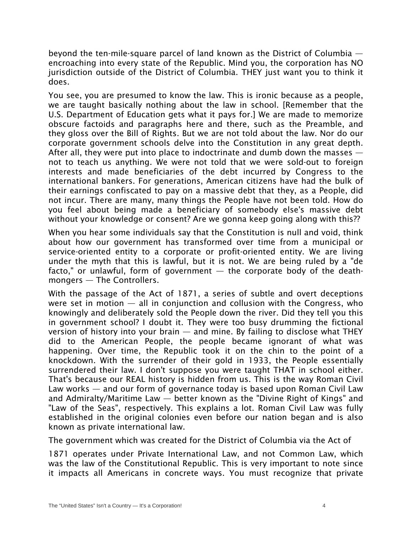beyond the ten-mile-square parcel of land known as the District of Columbia encroaching into every state of the Republic. Mind you, the corporation has NO jurisdiction outside of the District of Columbia. THEY just want you to think it does.

You see, you are presumed to know the law. This is ironic because as a people, we are taught basically nothing about the law in school. [Remember that the U.S. Department of Education gets what it pays for.] We are made to memorize obscure factoids and paragraphs here and there, such as the Preamble, and they gloss over the Bill of Rights. But we are not told about the law. Nor do our corporate government schools delve into the Constitution in any great depth. After all, they were put into place to indoctrinate and dumb down the masses  $$ not to teach us anything. We were not told that we were sold-out to foreign interests and made beneficiaries of the debt incurred by Congress to the international bankers. For generations, American citizens have had the bulk of their earnings confiscated to pay on a massive debt that they, as a People, did not incur. There are many, many things the People have not been told. How do you feel about being made a beneficiary of somebody else's massive debt without your knowledge or consent? Are we gonna keep going along with this??

When you hear some individuals say that the Constitution is null and void, think about how our government has transformed over time from a municipal or service-oriented entity to a corporate or profit-oriented entity. We are living under the myth that this is lawful, but it is not. We are being ruled by a "de facto," or unlawful, form of government  $-$  the corporate body of the deathmongers — The Controllers.

With the passage of the Act of 1871, a series of subtle and overt deceptions were set in motion  $-$  all in conjunction and collusion with the Congress, who knowingly and deliberately sold the People down the river. Did they tell you this in government school? I doubt it. They were too busy drumming the fictional version of history into your brain  $-$  and mine. By failing to disclose what THEY did to the American People, the people became ignorant of what was happening. Over time, the Republic took it on the chin to the point of a knockdown. With the surrender of their gold in 1933, the People essentially surrendered their law. I don't suppose you were taught THAT in school either. That's because our REAL history is hidden from us. This is the way Roman Civil Law works — and our form of governance today is based upon Roman Civil Law and Admiralty/Maritime Law — better known as the "Divine Right of Kings" and "Law of the Seas", respectively. This explains a lot. Roman Civil Law was fully established in the original colonies even before our nation began and is also known as private international law.

The government which was created for the District of Columbia via the Act of

1871 operates under Private International Law, and not Common Law, which was the law of the Constitutional Republic. This is very important to note since it impacts all Americans in concrete ways. You must recognize that private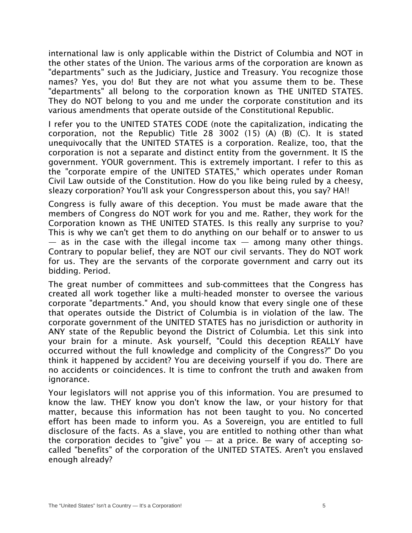international law is only applicable within the District of Columbia and NOT in the other states of the Union. The various arms of the corporation are known as "departments" such as the Judiciary, Justice and Treasury. You recognize those names? Yes, you do! But they are not what you assume them to be. These "departments" all belong to the corporation known as THE UNITED STATES. They do NOT belong to you and me under the corporate constitution and its various amendments that operate outside of the Constitutional Republic.

I refer you to the UNITED STATES CODE (note the capitalization, indicating the corporation, not the Republic) Title 28 3002 (15) (A) (B) (C). It is stated unequivocally that the UNITED STATES is a corporation. Realize, too, that the corporation is not a separate and distinct entity from the government. It IS the government. YOUR government. This is extremely important. I refer to this as the "corporate empire of the UNITED STATES," which operates under Roman Civil Law outside of the Constitution. How do you like being ruled by a cheesy, sleazy corporation? You'll ask your Congressperson about this, you say? HA!!

Congress is fully aware of this deception. You must be made aware that the members of Congress do NOT work for you and me. Rather, they work for the Corporation known as THE UNITED STATES. Is this really any surprise to you? This is why we can't get them to do anything on our behalf or to answer to us  $-$  as in the case with the illegal income tax  $-$  among many other things. Contrary to popular belief, they are NOT our civil servants. They do NOT work for us. They are the servants of the corporate government and carry out its bidding. Period.

The great number of committees and sub-committees that the Congress has created all work together like a multi-headed monster to oversee the various corporate "departments." And, you should know that every single one of these that operates outside the District of Columbia is in violation of the law. The corporate government of the UNITED STATES has no jurisdiction or authority in ANY state of the Republic beyond the District of Columbia. Let this sink into your brain for a minute. Ask yourself, "Could this deception REALLY have occurred without the full knowledge and complicity of the Congress?" Do you think it happened by accident? You are deceiving yourself if you do. There are no accidents or coincidences. It is time to confront the truth and awaken from ignorance.

Your legislators will not apprise you of this information. You are presumed to know the law. THEY know you don't know the law, or your history for that matter, because this information has not been taught to you. No concerted effort has been made to inform you. As a Sovereign, you are entitled to full disclosure of the facts. As a slave, you are entitled to nothing other than what the corporation decides to "give" you  $-$  at a price. Be wary of accepting socalled "benefits" of the corporation of the UNITED STATES. Aren't you enslaved enough already?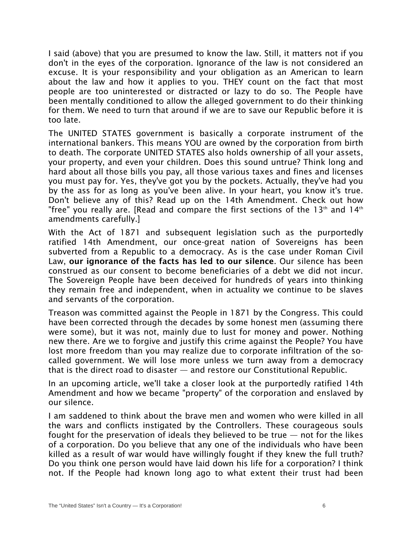I said (above) that you are presumed to know the law. Still, it matters not if you don't in the eyes of the corporation. Ignorance of the law is not considered an excuse. It is your responsibility and your obligation as an American to learn about the law and how it applies to you. THEY count on the fact that most people are too uninterested or distracted or lazy to do so. The People have been mentally conditioned to allow the alleged government to do their thinking for them. We need to turn that around if we are to save our Republic before it is too late.

The UNITED STATES government is basically a corporate instrument of the international bankers. This means YOU are owned by the corporation from birth to death. The corporate UNITED STATES also holds ownership of all your assets, your property, and even your children. Does this sound untrue? Think long and hard about all those bills you pay, all those various taxes and fines and licenses you must pay for. Yes, they've got you by the pockets. Actually, they've had you by the ass for as long as you've been alive. In your heart, you know it's true. Don't believe any of this? Read up on the 14th Amendment. Check out how "free" you really are. [Read and compare the first sections of the 13th and 14th amendments carefully.]

With the Act of 1871 and subsequent legislation such as the purportedly ratified 14th Amendment, our once-great nation of Sovereigns has been subverted from a Republic to a democracy. As is the case under Roman Civil Law, our ignorance of the facts has led to our silence. Our silence has been construed as our consent to become beneficiaries of a debt we did not incur. The Sovereign People have been deceived for hundreds of years into thinking they remain free and independent, when in actuality we continue to be slaves and servants of the corporation.

Treason was committed against the People in 1871 by the Congress. This could have been corrected through the decades by some honest men (assuming there were some), but it was not, mainly due to lust for money and power. Nothing new there. Are we to forgive and justify this crime against the People? You have lost more freedom than you may realize due to corporate infiltration of the socalled government. We will lose more unless we turn away from a democracy that is the direct road to disaster — and restore our Constitutional Republic.

In an upcoming article, we'll take a closer look at the purportedly ratified 14th Amendment and how we became "property" of the corporation and enslaved by our silence.

I am saddened to think about the brave men and women who were killed in all the wars and conflicts instigated by the Controllers. These courageous souls fought for the preservation of ideals they believed to be true  $-$  not for the likes of a corporation. Do you believe that any one of the individuals who have been killed as a result of war would have willingly fought if they knew the full truth? Do you think one person would have laid down his life for a corporation? I think not. If the People had known long ago to what extent their trust had been